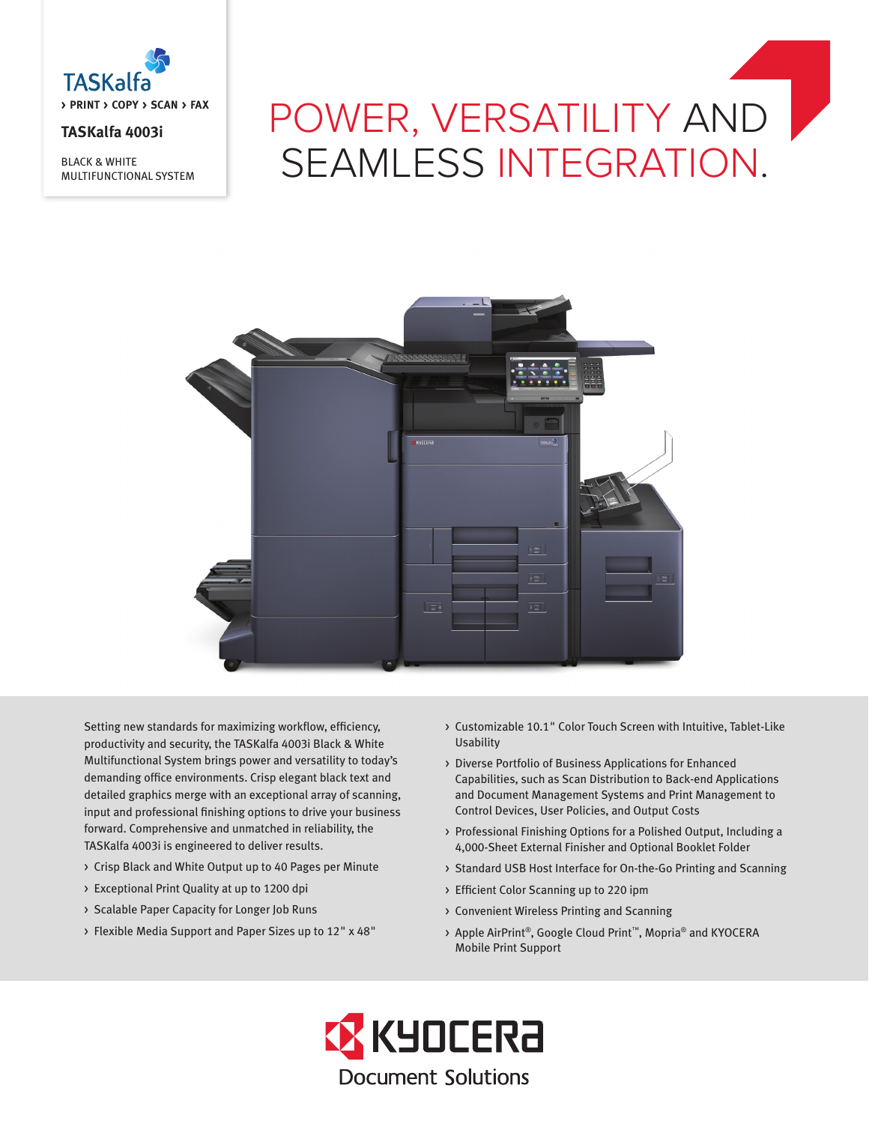

# **TASKalfa 4003i**

BLACK & WHITE MULTIFUNCTIONAL SYSTEM

# POWER, VERSATILITY AND SEAMLESS INTEGRATION.



Setting new standards for maximizing workflow, efficiency, productivity and security, the TASKalfa 4003i Black & White Multifunctional System brings power and versatility to today's demanding office environments. Crisp elegant black text and detailed graphics merge with an exceptional array of scanning, input and professional finishing options to drive your business forward. Comprehensive and unmatched in reliability, the TASKalfa 4003i is engineered to deliver results.

- > Crisp Black and White Output up to 40 Pages per Minute
- > Exceptional Print Quality at up to 1200 dpi
- > Scalable Paper Capacity for Longer Job Runs
- > Flexible Media Support and Paper Sizes up to 12" x 48"
- > Customizable 10.1" Color Touch Screen with Intuitive, Tablet-Like Usability
- > Diverse Portfolio of Business Applications for Enhanced Capabilities, such as Scan Distribution to Back-end Applications and Document Management Systems and Print Management to Control Devices, User Policies, and Output Costs
- > Professional Finishing Options for a Polished Output, Including a 4,000-Sheet External Finisher and Optional Booklet Folder
- > Standard USB Host Interface for On-the-Go Printing and Scanning
- > Efficient Color Scanning up to 220 ipm
- > Convenient Wireless Printing and Scanning
- > Apple AirPrint®, Google Cloud Print™, Mopria® and KYOCERA Mobile Print Support